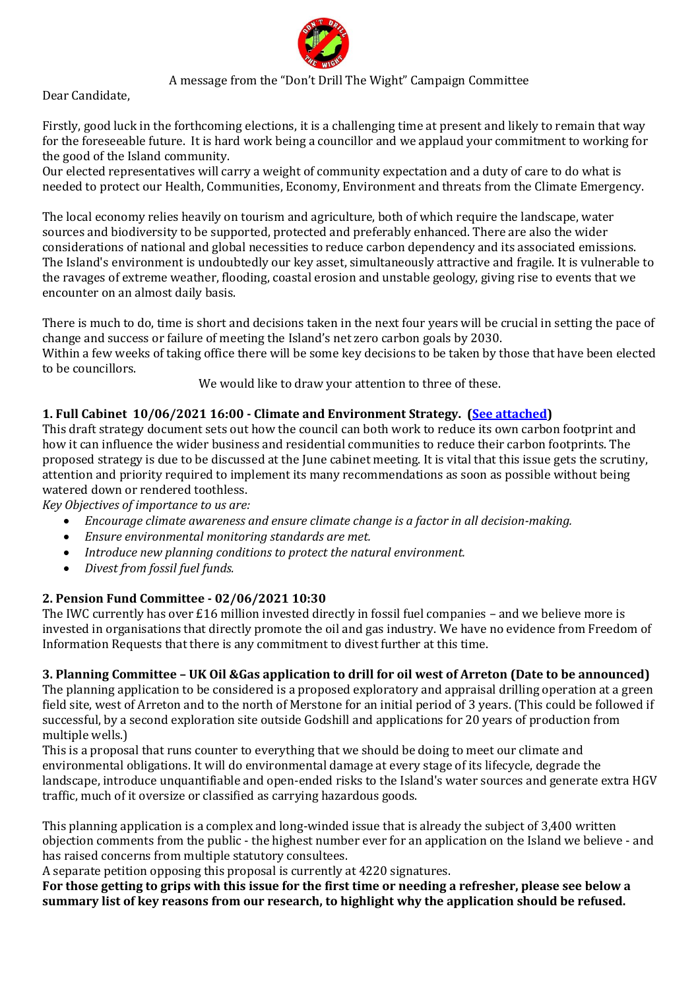

# A message from the "Don't Drill The Wight" Campaign Committee

Dear Candidate,

Firstly, good luck in the forthcoming elections, it is a challenging time at present and likely to remain that way for the foreseeable future. It is hard work being a councillor and we applaud your commitment to working for the good of the Island community.

Our elected representatives will carry a weight of community expectation and a duty of care to do what is needed to protect our Health, Communities, Economy, Environment and threats from the Climate Emergency.

The local economy relies heavily on tourism and agriculture, both of which require the landscape, water sources and biodiversity to be supported, protected and preferably enhanced. There are also the wider considerations of national and global necessities to reduce carbon dependency and its associated emissions. The Island's environment is undoubtedly our key asset, simultaneously attractive and fragile. It is vulnerable to the ravages of extreme weather, flooding, coastal erosion and unstable geology, giving rise to events that we encounter on an almost daily basis.

There is much to do, time is short and decisions taken in the next four years will be crucial in setting the pace of change and success or failure of meeting the Island's net zero carbon goals by 2030.

Within a few weeks of taking office there will be some key decisions to be taken by those that have been elected to be councillors.

We would like to draw your attention to three of these.

# **1. Full Cabinet 10/06/2021 16:00 - Climate and Environment Strategy. [\(See attached\)](https://iow.moderngov.co.uk/documents/s1870/Climate%20and%20Environment%20Strategy.pdf)**

This draft strategy document sets out how the council can both work to reduce its own carbon footprint and how it can influence the wider business and residential communities to reduce their carbon footprints. The proposed strategy is due to be discussed at the June cabinet meeting. It is vital that this issue gets the scrutiny, attention and priority required to implement its many recommendations as soon as possible without being watered down or rendered toothless.

*Key Objectives of importance to us are:*

- *Encourage climate awareness and ensure climate change is a factor in all decision-making.*
- *Ensure environmental monitoring standards are met.*
- *Introduce new planning conditions to protect the natural environment.*
- *Divest from fossil fuel funds.*

## **2. Pension Fund Committee - 02/06/2021 10:30**

The IWC currently has over £16 million invested directly in fossil fuel companies – and we believe more is invested in organisations that directly promote the oil and gas industry. We have no evidence from Freedom of Information Requests that there is any commitment to divest further at this time.

## **3. Planning Committee – UK Oil &Gas application to drill for oil west of Arreton (Date to be announced)**

The planning application to be considered is a proposed exploratory and appraisal drilling operation at a green field site, west of Arreton and to the north of Merstone for an initial period of 3 years. (This could be followed if successful, by a second exploration site outside Godshill and applications for 20 years of production from multiple wells.)

This is a proposal that runs counter to everything that we should be doing to meet our climate and environmental obligations. It will do environmental damage at every stage of its lifecycle, degrade the landscape, introduce unquantifiable and open-ended risks to the Island's water sources and generate extra HGV traffic, much of it oversize or classified as carrying hazardous goods.

This planning application is a complex and long-winded issue that is already the subject of 3,400 written objection comments from the public - the highest number ever for an application on the Island we believe - and has raised concerns from multiple statutory consultees.

A separate petition opposing this proposal is currently at 4220 signatures.

**For those getting to grips with this issue for the first time or needing a refresher, please see below a summary list of key reasons from our research, to highlight why the application should be refused.**